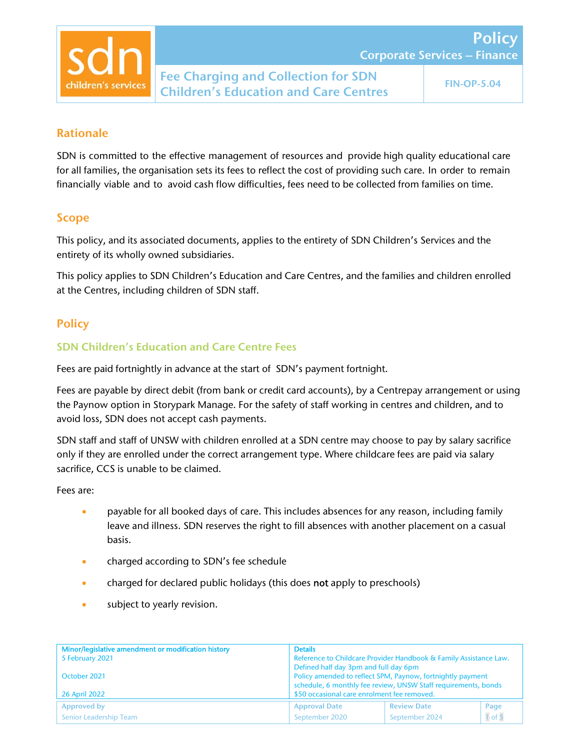

Policy

# Rationale

SDN is committed to the effective management of resources and provide high quality educational care for all families, the organisation sets its fees to reflect the cost of providing such care. In order to remain financially viable and to avoid cash flow difficulties, fees need to be collected from families on time.

# Scope

This policy, and its associated documents, applies to the entirety of SDN Children's Services and the entirety of its wholly owned subsidiaries.

This policy applies to SDN Children's Education and Care Centres, and the families and children enrolled at the Centres, including children of SDN staff.

# **Policy**

## SDN Children's Education and Care Centre Fees

Fees are paid fortnightly in advance at the start of SDN's payment fortnight.

Fees are payable by direct debit (from bank or credit card accounts), by a Centrepay arrangement or using the Paynow option in Storypark Manage. For the safety of staff working in centres and children, and to avoid loss, SDN does not accept cash payments.

SDN staff and staff of UNSW with children enrolled at a SDN centre may choose to pay by salary sacrifice only if they are enrolled under the correct arrangement type. Where childcare fees are paid via salary sacrifice, CCS is unable to be claimed.

Fees are:

- **•** payable for all booked days of care. This includes absences for any reason, including family leave and illness. SDN reserves the right to fill absences with another placement on a casual basis.
- **•** charged according to SDN's fee schedule
- charged for declared public holidays (this does not apply to preschools)
- **subject to yearly revision.**

| Minor/legislative amendment or modification history | <b>Details</b>                                                                                                               |                    |            |
|-----------------------------------------------------|------------------------------------------------------------------------------------------------------------------------------|--------------------|------------|
| 5 February 2021                                     | Reference to Childcare Provider Handbook & Family Assistance Law.                                                            |                    |            |
|                                                     | Defined half day 3pm and full day 6pm                                                                                        |                    |            |
| October 2021                                        | Policy amended to reflect SPM, Paynow, fortnightly payment<br>schedule, 6 monthly fee review, UNSW Staff requirements, bonds |                    |            |
| <b>26 April 2022</b>                                | \$50 occasional care enrolment fee removed.                                                                                  |                    |            |
| Approved by                                         | <b>Approval Date</b>                                                                                                         | <b>Review Date</b> | Page       |
| Senior Leadership Team                              | September 2020                                                                                                               | September 2024     | $1$ of $5$ |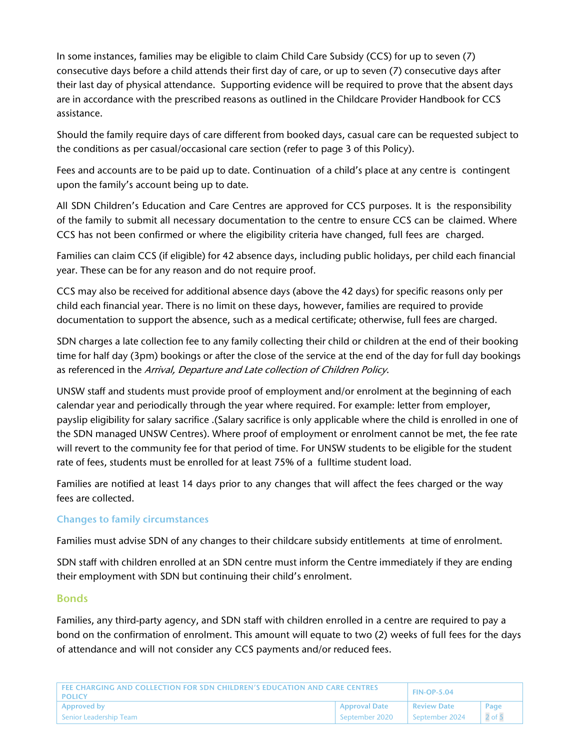In some instances, families may be eligible to claim Child Care Subsidy (CCS) for up to seven (7) consecutive days before a child attends their first day of care, or up to seven (7) consecutive days after their last day of physical attendance. Supporting evidence will be required to prove that the absent days are in accordance with the prescribed reasons as outlined in the Childcare Provider Handbook for CCS assistance.

Should the family require days of care different from booked days, casual care can be requested subject to the conditions as per casual/occasional care section (refer to page 3 of this Policy).

Fees and accounts are to be paid up to date. Continuation of a child's place at any centre is contingent upon the family's account being up to date.

All SDN Children's Education and Care Centres are approved for CCS purposes. It is the responsibility of the family to submit all necessary documentation to the centre to ensure CCS can be claimed. Where CCS has not been confirmed or where the eligibility criteria have changed, full fees are charged.

Families can claim CCS (if eligible) for 42 absence days, including public holidays, per child each financial year. These can be for any reason and do not require proof.

CCS may also be received for additional absence days (above the 42 days) for specific reasons only per child each financial year. There is no limit on these days, however, families are required to provide documentation to support the absence, such as a medical certificate; otherwise, full fees are charged.

SDN charges a late collection fee to any family collecting their child or children at the end of their booking time for half day (3pm) bookings or after the close of the service at the end of the day for full day bookings as referenced in the Arrival, Departure and Late collection of Children Policy.

UNSW staff and students must provide proof of employment and/or enrolment at the beginning of each calendar year and periodically through the year where required. For example: letter from employer, payslip eligibility for salary sacrifice .(Salary sacrifice is only applicable where the child is enrolled in one of the SDN managed UNSW Centres). Where proof of employment or enrolment cannot be met, the fee rate will revert to the community fee for that period of time. For UNSW students to be eligible for the student rate of fees, students must be enrolled for at least 75% of a fulltime student load.

Families are notified at least 14 days prior to any changes that will affect the fees charged or the way fees are collected.

#### Changes to family circumstances

Families must advise SDN of any changes to their childcare subsidy entitlements at time of enrolment.

SDN staff with children enrolled at an SDN centre must inform the Centre immediately if they are ending their employment with SDN but continuing their child's enrolment.

#### Bonds

Families, any third-party agency, and SDN staff with children enrolled in a centre are required to pay a bond on the confirmation of enrolment. This amount will equate to two (2) weeks of full fees for the days of attendance and will not consider any CCS payments and/or reduced fees.

| FEE CHARGING AND COLLECTION FOR SDN CHILDREN'S EDUCATION AND CARE CENTRES<br>I POLICY |                      | <b>FIN-OP-5.04</b> |            |
|---------------------------------------------------------------------------------------|----------------------|--------------------|------------|
| <b>Approved by</b>                                                                    | <b>Approval Date</b> | <b>Review Date</b> | Page       |
| Senior Leadership Team                                                                | September 2020       | September 2024     | $2$ of $5$ |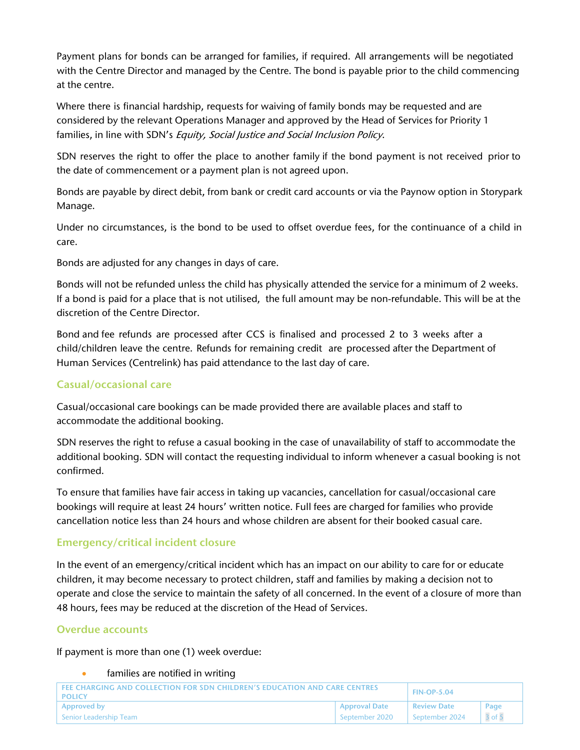Payment plans for bonds can be arranged for families, if required. All arrangements will be negotiated with the Centre Director and managed by the Centre. The bond is payable prior to the child commencing at the centre.

Where there is financial hardship, requests for waiving of family bonds may be requested and are considered by the relevant Operations Manager and approved by the Head of Services for Priority 1 families, in line with SDN's Equity, Social Justice and Social Inclusion Policy.

SDN reserves the right to offer the place to another family if the bond payment is not received prior to the date of commencement or a payment plan is not agreed upon.

Bonds are payable by direct debit, from bank or credit card accounts or via the Paynow option in Storypark Manage.

Under no circumstances, is the bond to be used to offset overdue fees, for the continuance of a child in care.

Bonds are adjusted for any changes in days of care.

Bonds will not be refunded unless the child has physically attended the service for a minimum of 2 weeks. If a bond is paid for a place that is not utilised, the full amount may be non-refundable. This will be at the discretion of the Centre Director.

Bond and fee refunds are processed after CCS is finalised and processed 2 to 3 weeks after a child/children leave the centre. Refunds for remaining credit are processed after the Department of Human Services (Centrelink) has paid attendance to the last day of care.

#### Casual/occasional care

Casual/occasional care bookings can be made provided there are available places and staff to accommodate the additional booking.

SDN reserves the right to refuse a casual booking in the case of unavailability of staff to accommodate the additional booking. SDN will contact the requesting individual to inform whenever a casual booking is not confirmed.

To ensure that families have fair access in taking up vacancies, cancellation for casual/occasional care bookings will require at least 24 hours' written notice. Full fees are charged for families who provide cancellation notice less than 24 hours and whose children are absent for their booked casual care.

## Emergency/critical incident closure

In the event of an emergency/critical incident which has an impact on our ability to care for or educate children, it may become necessary to protect children, staff and families by making a decision not to operate and close the service to maintain the safety of all concerned. In the event of a closure of more than 48 hours, fees may be reduced at the discretion of the Head of Services.

#### Overdue accounts

If payment is more than one (1) week overdue:

#### families are notified in writing

| FEE CHARGING AND COLLECTION FOR SDN CHILDREN'S EDUCATION AND CARE CENTRES<br>I POLICY |                             | <b>FIN-OP-5.04</b> |            |
|---------------------------------------------------------------------------------------|-----------------------------|--------------------|------------|
| Approved by                                                                           | <b>Approval Date</b>        | <b>Review Date</b> | Page       |
| Senior Leadership Team                                                                | <sup>1</sup> September 2020 | September 2024     | $3$ of $5$ |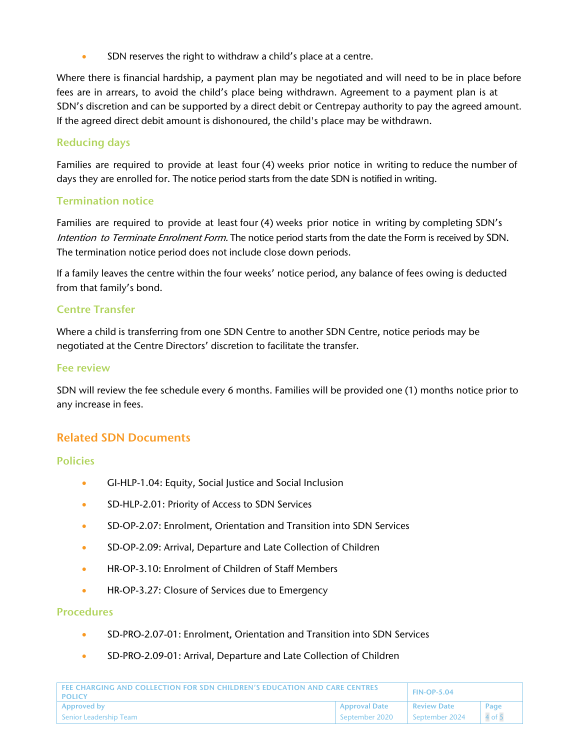SDN reserves the right to withdraw a child's place at a centre.

Where there is financial hardship, a payment plan may be negotiated and will need to be in place before fees are in arrears, to avoid the child's place being withdrawn. Agreement to a payment plan is at SDN's discretion and can be supported by a direct debit or Centrepay authority to pay the agreed amount. If the agreed direct debit amount is dishonoured, the child's place may be withdrawn.

### Reducing days

Families are required to provide at least four (4) weeks prior notice in writing to reduce the number of days they are enrolled for. The notice period starts from the date SDN is notified in writing.

### Termination notice

Families are required to provide at least four (4) weeks prior notice in writing by completing SDN's Intention to Terminate Enrolment Form. The notice period starts from the date the Form is received by SDN. The termination notice period does not include close down periods.

If a family leaves the centre within the four weeks' notice period, any balance of fees owing is deducted from that family's bond.

### Centre Transfer

Where a child is transferring from one SDN Centre to another SDN Centre, notice periods may be negotiated at the Centre Directors' discretion to facilitate the transfer.

#### Fee review

SDN will review the fee schedule every 6 months. Families will be provided one (1) months notice prior to any increase in fees.

## Related SDN Documents

#### Policies

- GI-HLP-1.04: Equity, Social Justice and Social Inclusion
- SD-HLP-2.01: Priority of Access to SDN Services
- SD-OP-2.07: Enrolment, Orientation and Transition into SDN Services
- SD-OP-2.09: Arrival, Departure and Late Collection of Children
- **HR-OP-3.10: Enrolment of Children of Staff Members**
- HR-OP-3.27: Closure of Services due to Emergency

#### Procedures

- SD-PRO-2.07-01: Enrolment, Orientation and Transition into SDN Services
- SD-PRO-2.09-01: Arrival, Departure and Late Collection of Children

| LEFE CHARGING AND COLLECTION FOR SDN CHILDREN'S EDUCATION AND CARE CENTRES.<br>I POLICY |                      | <b>FIN-OP-5.04</b>                           |      |
|-----------------------------------------------------------------------------------------|----------------------|----------------------------------------------|------|
| Approved by                                                                             | <b>Approval Date</b> | <b>Review Date</b>                           | Page |
| l Senior Leadership Team                                                                | September 2020       | September 2024 $\begin{array}{ c c }$ 4 of 5 |      |